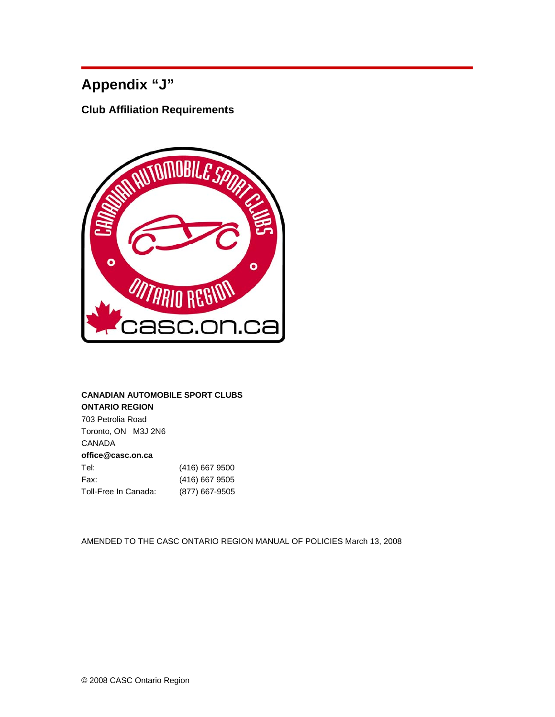# **Appendix "J"**

**Club Affiliation Requirements** 



# **CANADIAN AUTOMOBILE SPORT CLUBS ONTARIO REGION**

703 Petrolia Road Toronto, ON M3J 2N6 CANADA **office@casc.on.ca**  Tel: (416) 667 9500 Fax: (416) 667 9505 Toll-Free In Canada: (877) 667-9505

AMENDED TO THE CASC ONTARIO REGION MANUAL OF POLICIES March 13, 2008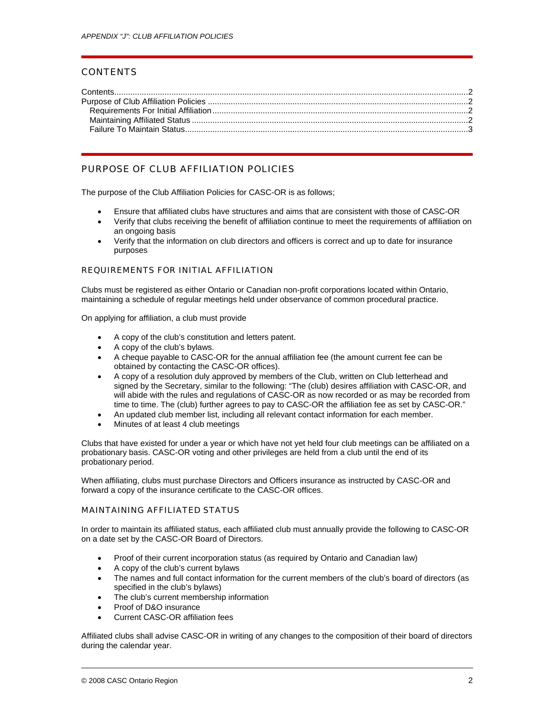## **CONTENTS**

# PURPOSE OF CLUB AFFILIATION POLICIES

The purpose of the Club Affiliation Policies for CASC-OR is as follows;

- Ensure that affiliated clubs have structures and aims that are consistent with those of CASC-OR
- Verify that clubs receiving the benefit of affiliation continue to meet the requirements of affiliation on an ongoing basis
- Verify that the information on club directors and officers is correct and up to date for insurance purposes

#### REQUIREMENTS FOR INITIAL AFFILIATION

Clubs must be registered as either Ontario or Canadian non-profit corporations located within Ontario, maintaining a schedule of regular meetings held under observance of common procedural practice.

On applying for affiliation, a club must provide

- A copy of the club's constitution and letters patent.
- A copy of the club's bylaws.
- A cheque payable to CASC-OR for the annual affiliation fee (the amount current fee can be obtained by contacting the CASC-OR offices).
- A copy of a resolution duly approved by members of the Club, written on Club letterhead and signed by the Secretary, similar to the following: "The (club) desires affiliation with CASC-OR, and will abide with the rules and regulations of CASC-OR as now recorded or as may be recorded from time to time. The (club) further agrees to pay to CASC-OR the affiliation fee as set by CASC-OR."
- An updated club member list, including all relevant contact information for each member.
- Minutes of at least 4 club meetings

Clubs that have existed for under a year or which have not yet held four club meetings can be affiliated on a probationary basis. CASC-OR voting and other privileges are held from a club until the end of its probationary period.

When affiliating, clubs must purchase Directors and Officers insurance as instructed by CASC-OR and forward a copy of the insurance certificate to the CASC-OR offices.

### MAINTAINING AFFILIATED STATUS

In order to maintain its affiliated status, each affiliated club must annually provide the following to CASC-OR on a date set by the CASC-OR Board of Directors.

- Proof of their current incorporation status (as required by Ontario and Canadian law)
- A copy of the club's current bylaws
- The names and full contact information for the current members of the club's board of directors (as specified in the club's bylaws)
- The club's current membership information
- Proof of D&O insurance
- Current CASC-OR affiliation fees

Affiliated clubs shall advise CASC-OR in writing of any changes to the composition of their board of directors during the calendar year.